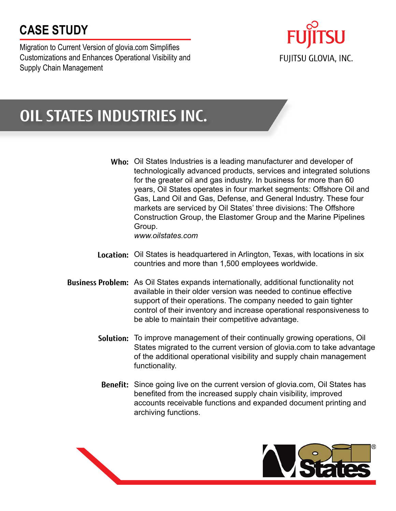# **CASE STUDY**

Migration to Current Version of glovia.com Simplifies Customizations and Enhances Operational Visibility and Supply Chain Management



# **OIL STATES INDUSTRIES INC.**

**Who:** Oil States Industries is a leading manufacturer and developer of technologically advanced products, services and integrated solutions for the greater oil and gas industry. In business for more than 60 years, Oil States operates in four market segments: Offshore Oil and Gas, Land Oil and Gas, Defense, and General Industry. These four markets are serviced by Oil States' three divisions: The Offshore Construction Group, the Elastomer Group and the Marine Pipelines Group.

*www.oilstates.com*

- **Location:** Oil States is headquartered in Arlington, Texas, with locations in six countries and more than 1,500 employees worldwide.
- **Business Problem:** As Oil States expands internationally, additional functionality not available in their older version was needed to continue effective support of their operations. The company needed to gain tighter control of their inventory and increase operational responsiveness to be able to maintain their competitive advantage.
	- Solution: To improve management of their continually growing operations, Oil States migrated to the current version of glovia.com to take advantage of the additional operational visibility and supply chain management functionality.
	- **Benefit:** Since going live on the current version of glovia.com, Oil States has benefited from the increased supply chain visibility, improved accounts receivable functions and expanded document printing and archiving functions.

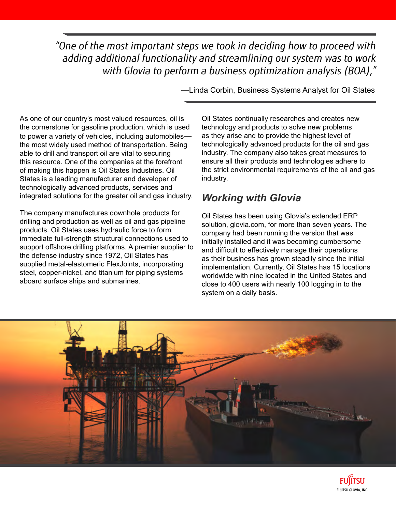*"One of the most important steps we took in deciding how to proceed with adding additional functionality and streamlining our system was to work with Glovia to perform a business optimization analysis (BOA),"*

As one of our country's most valued resources, oil is the cornerstone for gasoline production, which is used to power a variety of vehicles, including automobiles the most widely used method of transportation. Being able to drill and transport oil are vital to securing this resource. One of the companies at the forefront of making this happen is Oil States Industries. Oil States is a leading manufacturer and developer of technologically advanced products, services and integrated solutions for the greater oil and gas industry.

The company manufactures downhole products for drilling and production as well as oil and gas pipeline products. Oil States uses hydraulic force to form immediate full-strength structural connections used to support offshore drilling platforms. A premier supplier to the defense industry since 1972, Oil States has supplied metal-elastomeric FlexJoints, incorporating steel, copper-nickel, and titanium for piping systems aboard surface ships and submarines.

—Linda Corbin, Business Systems Analyst for Oil States

Oil States continually researches and creates new technology and products to solve new problems as they arise and to provide the highest level of technologically advanced products for the oil and gas industry. The company also takes great measures to ensure all their products and technologies adhere to the strict environmental requirements of the oil and gas industry.

#### *Working with Glovia*

Oil States has been using Glovia's extended ERP solution, glovia.com, for more than seven years. The company had been running the version that was initially installed and it was becoming cumbersome and difficult to effectively manage their operations as their business has grown steadily since the initial implementation. Currently, Oil States has 15 locations worldwide with nine located in the United States and close to 400 users with nearly 100 logging in to the system on a daily basis.



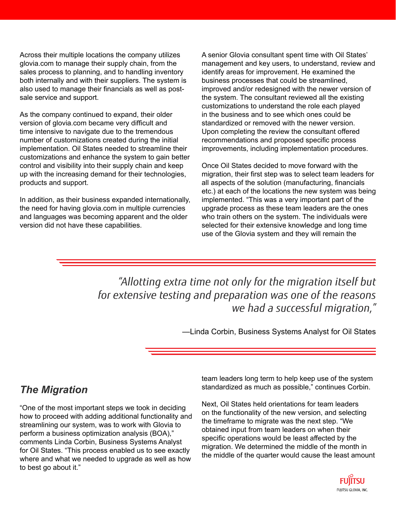Across their multiple locations the company utilizes glovia.com to manage their supply chain, from the sales process to planning, and to handling inventory both internally and with their suppliers. The system is also used to manage their financials as well as postsale service and support.

As the company continued to expand, their older version of glovia.com became very difficult and time intensive to navigate due to the tremendous number of customizations created during the initial implementation. Oil States needed to streamline their customizations and enhance the system to gain better control and visibility into their supply chain and keep up with the increasing demand for their technologies, products and support.

In addition, as their business expanded internationally, the need for having glovia.com in multiple currencies and languages was becoming apparent and the older version did not have these capabilities.

A senior Glovia consultant spent time with Oil States' management and key users, to understand, review and identify areas for improvement. He examined the business processes that could be streamlined, improved and/or redesigned with the newer version of the system. The consultant reviewed all the existing customizations to understand the role each played in the business and to see which ones could be standardized or removed with the newer version. Upon completing the review the consultant offered recommendations and proposed specific process improvements, including implementation procedures.

Once Oil States decided to move forward with the migration, their first step was to select team leaders for all aspects of the solution (manufacturing, financials etc.) at each of the locations the new system was being implemented. "This was a very important part of the upgrade process as these team leaders are the ones who train others on the system. The individuals were selected for their extensive knowledge and long time use of the Glovia system and they will remain the

*"Allotting extra time not only for the migration itself but for extensive testing and preparation was one of the reasons we had a successful migration,"*

—Linda Corbin, Business Systems Analyst for Oil States

## *The Migration*

"One of the most important steps we took in deciding how to proceed with adding additional functionality and streamlining our system, was to work with Glovia to perform a business optimization analysis (BOA)," comments Linda Corbin, Business Systems Analyst for Oil States. "This process enabled us to see exactly where and what we needed to upgrade as well as how to best go about it."

team leaders long term to help keep use of the system standardized as much as possible," continues Corbin.

Next, Oil States held orientations for team leaders on the functionality of the new version, and selecting the timeframe to migrate was the next step. "We obtained input from team leaders on when their specific operations would be least affected by the migration. We determined the middle of the month in the middle of the quarter would cause the least amount